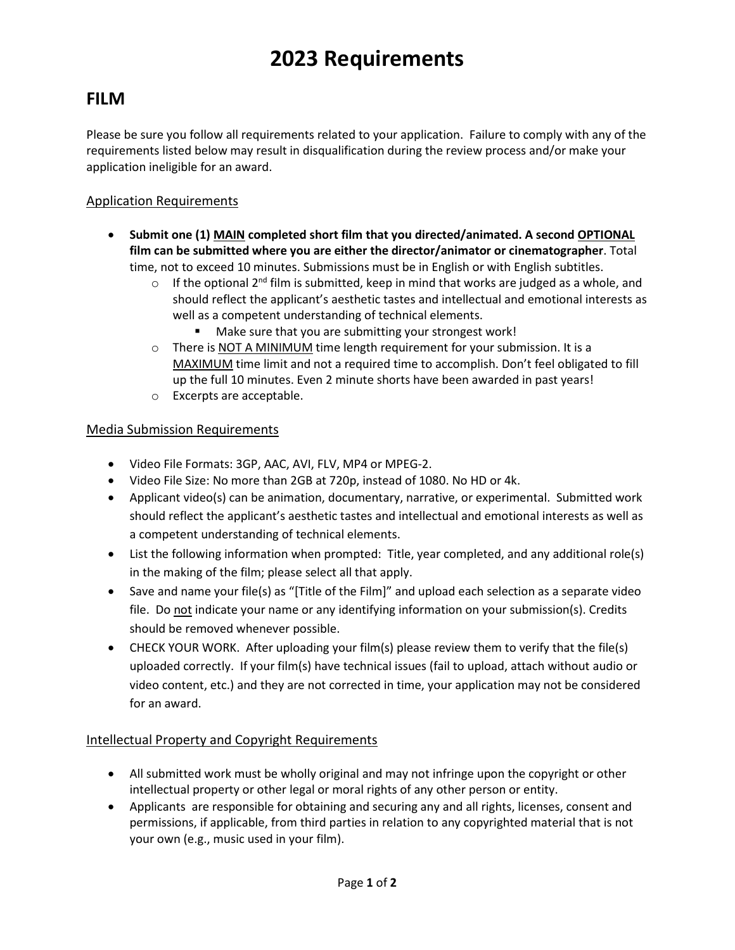# **2023 Requirements**

### **FILM**

Please be sure you follow all requirements related to your application. Failure to comply with any of the requirements listed below may result in disqualification during the review process and/or make your application ineligible for an award.

#### Application Requirements

- **Submit one (1) MAIN completed short film that you directed/animated. A second OPTIONAL film can be submitted where you are either the director/animator or cinematographer**. Total time, not to exceed 10 minutes. Submissions must be in English or with English subtitles.
	- o If the optional 2<sup>nd</sup> film is submitted, keep in mind that works are judged as a whole, and should reflect the applicant's aesthetic tastes and intellectual and emotional interests as well as a competent understanding of technical elements.
		- Make sure that you are submitting your strongest work!
	- $\circ$  There is NOT A MINIMUM time length requirement for your submission. It is a MAXIMUM time limit and not a required time to accomplish. Don't feel obligated to fill up the full 10 minutes. Even 2 minute shorts have been awarded in past years!
	- o Excerpts are acceptable.

#### Media Submission Requirements

- Video File Formats: 3GP, AAC, AVI, FLV, MP4 or MPEG-2.
- Video File Size: No more than 2GB at 720p, instead of 1080. No HD or 4k.
- Applicant video(s) can be animation, documentary, narrative, or experimental. Submitted work should reflect the applicant's aesthetic tastes and intellectual and emotional interests as well as a competent understanding of technical elements.
- List the following information when prompted: Title, year completed, and any additional role(s) in the making of the film; please select all that apply.
- Save and name your file(s) as "[Title of the Film]" and upload each selection as a separate video file. Do not indicate your name or any identifying information on your submission(s). Credits should be removed whenever possible.
- CHECK YOUR WORK. After uploading your film(s) please review them to verify that the file(s) uploaded correctly. If your film(s) have technical issues (fail to upload, attach without audio or video content, etc.) and they are not corrected in time, your application may not be considered for an award.

#### Intellectual Property and Copyright Requirements

- All submitted work must be wholly original and may not infringe upon the copyright or other intellectual property or other legal or moral rights of any other person or entity.
- Applicants are responsible for obtaining and securing any and all rights, licenses, consent and permissions, if applicable, from third parties in relation to any copyrighted material that is not your own (e.g., music used in your film).